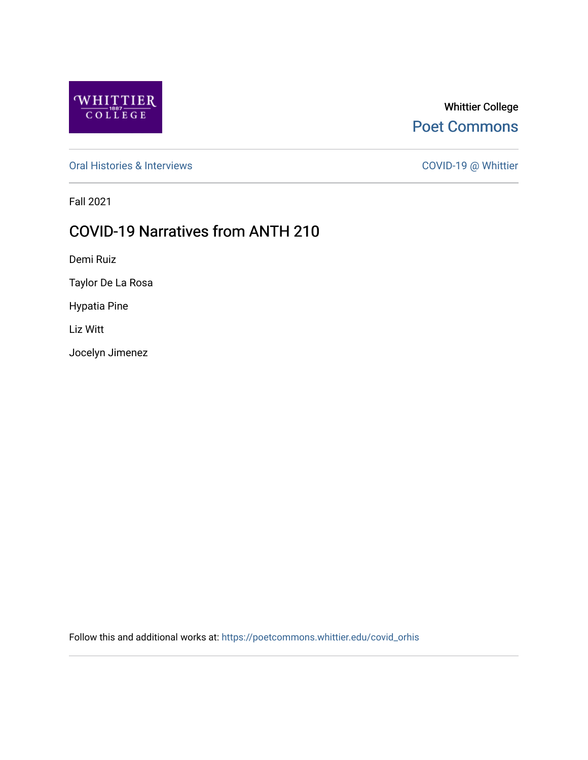

# Whittier College [Poet Commons](https://poetcommons.whittier.edu/)

[Oral Histories & Interviews](https://poetcommons.whittier.edu/covid_orhis) COVID-19 @ Whittier

Fall 2021

# COVID-19 Narratives from ANTH 210

Demi Ruiz

Taylor De La Rosa

Hypatia Pine

Liz Witt

Jocelyn Jimenez

Follow this and additional works at: [https://poetcommons.whittier.edu/covid\\_orhis](https://poetcommons.whittier.edu/covid_orhis?utm_source=poetcommons.whittier.edu%2Fcovid_orhis%2F6&utm_medium=PDF&utm_campaign=PDFCoverPages)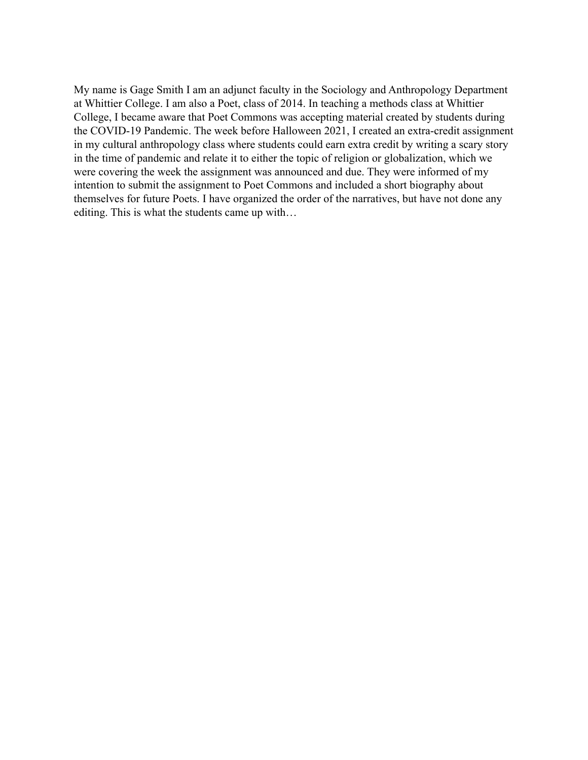My name is Gage Smith I am an adjunct faculty in the Sociology and Anthropology Department at Whittier College. I am also a Poet, class of 2014. In teaching a methods class at Whittier College, I became aware that Poet Commons was accepting material created by students during the COVID-19 Pandemic. The week before Halloween 2021, I created an extra-credit assignment in my cultural anthropology class where students could earn extra credit by writing a scary story in the time of pandemic and relate it to either the topic of religion or globalization, which we were covering the week the assignment was announced and due. They were informed of my intention to submit the assignment to Poet Commons and included a short biography about themselves for future Poets. I have organized the order of the narratives, but have not done any editing. This is what the students came up with…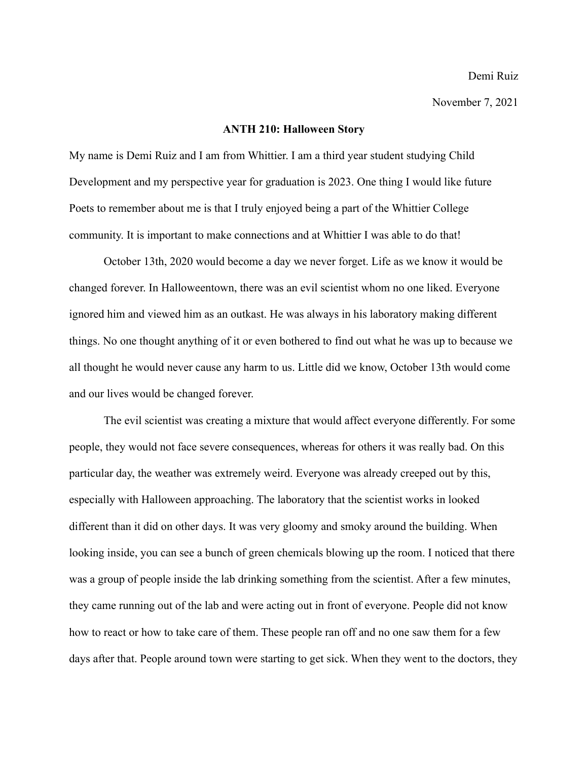#### **ANTH 210: Halloween Story**

My name is Demi Ruiz and I am from Whittier. I am a third year student studying Child Development and my perspective year for graduation is 2023. One thing I would like future Poets to remember about me is that I truly enjoyed being a part of the Whittier College community. It is important to make connections and at Whittier I was able to do that!

October 13th, 2020 would become a day we never forget. Life as we know it would be changed forever. In Halloweentown, there was an evil scientist whom no one liked. Everyone ignored him and viewed him as an outkast. He was always in his laboratory making different things. No one thought anything of it or even bothered to find out what he was up to because we all thought he would never cause any harm to us. Little did we know, October 13th would come and our lives would be changed forever.

The evil scientist was creating a mixture that would affect everyone differently. For some people, they would not face severe consequences, whereas for others it was really bad. On this particular day, the weather was extremely weird. Everyone was already creeped out by this, especially with Halloween approaching. The laboratory that the scientist works in looked different than it did on other days. It was very gloomy and smoky around the building. When looking inside, you can see a bunch of green chemicals blowing up the room. I noticed that there was a group of people inside the lab drinking something from the scientist. After a few minutes, they came running out of the lab and were acting out in front of everyone. People did not know how to react or how to take care of them. These people ran off and no one saw them for a few days after that. People around town were starting to get sick. When they went to the doctors, they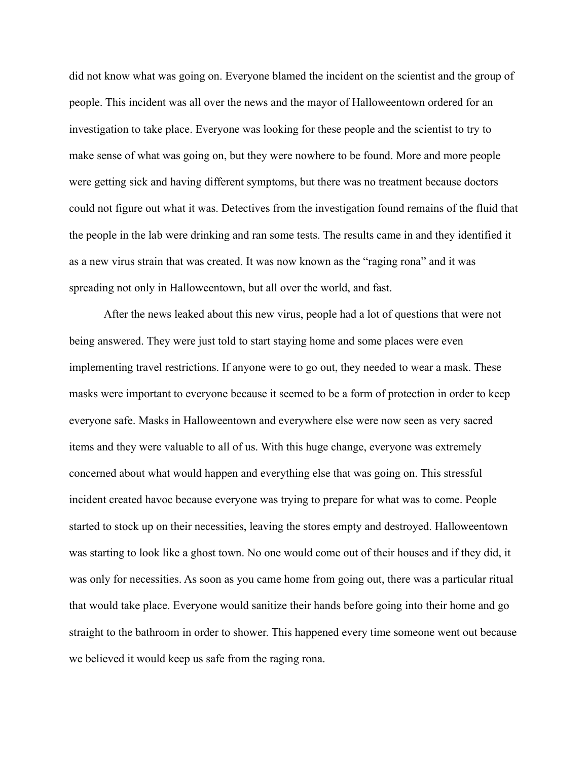did not know what was going on. Everyone blamed the incident on the scientist and the group of people. This incident was all over the news and the mayor of Halloweentown ordered for an investigation to take place. Everyone was looking for these people and the scientist to try to make sense of what was going on, but they were nowhere to be found. More and more people were getting sick and having different symptoms, but there was no treatment because doctors could not figure out what it was. Detectives from the investigation found remains of the fluid that the people in the lab were drinking and ran some tests. The results came in and they identified it as a new virus strain that was created. It was now known as the "raging rona" and it was spreading not only in Halloweentown, but all over the world, and fast.

After the news leaked about this new virus, people had a lot of questions that were not being answered. They were just told to start staying home and some places were even implementing travel restrictions. If anyone were to go out, they needed to wear a mask. These masks were important to everyone because it seemed to be a form of protection in order to keep everyone safe. Masks in Halloweentown and everywhere else were now seen as very sacred items and they were valuable to all of us. With this huge change, everyone was extremely concerned about what would happen and everything else that was going on. This stressful incident created havoc because everyone was trying to prepare for what was to come. People started to stock up on their necessities, leaving the stores empty and destroyed. Halloweentown was starting to look like a ghost town. No one would come out of their houses and if they did, it was only for necessities. As soon as you came home from going out, there was a particular ritual that would take place. Everyone would sanitize their hands before going into their home and go straight to the bathroom in order to shower. This happened every time someone went out because we believed it would keep us safe from the raging rona.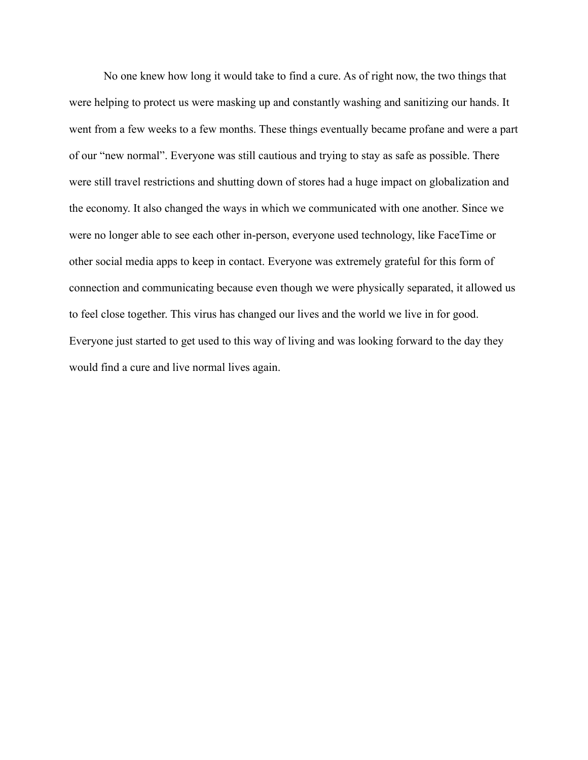No one knew how long it would take to find a cure. As of right now, the two things that were helping to protect us were masking up and constantly washing and sanitizing our hands. It went from a few weeks to a few months. These things eventually became profane and were a part of our "new normal". Everyone was still cautious and trying to stay as safe as possible. There were still travel restrictions and shutting down of stores had a huge impact on globalization and the economy. It also changed the ways in which we communicated with one another. Since we were no longer able to see each other in-person, everyone used technology, like FaceTime or other social media apps to keep in contact. Everyone was extremely grateful for this form of connection and communicating because even though we were physically separated, it allowed us to feel close together. This virus has changed our lives and the world we live in for good. Everyone just started to get used to this way of living and was looking forward to the day they would find a cure and live normal lives again.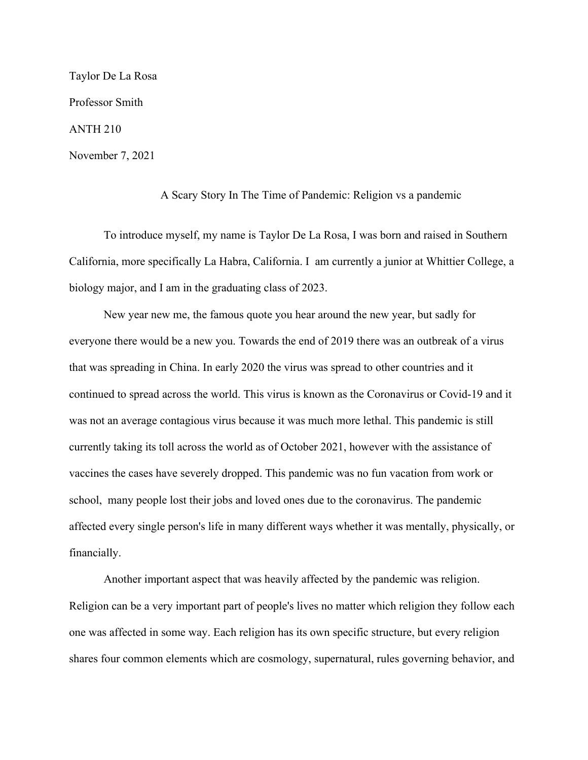Taylor De La Rosa Professor Smith ANTH 210 November 7, 2021

A Scary Story In The Time of Pandemic: Religion vs a pandemic

To introduce myself, my name is Taylor De La Rosa, I was born and raised in Southern California, more specifically La Habra, California. I am currently a junior at Whittier College, a biology major, and I am in the graduating class of 2023.

New year new me, the famous quote you hear around the new year, but sadly for everyone there would be a new you. Towards the end of 2019 there was an outbreak of a virus that was spreading in China. In early 2020 the virus was spread to other countries and it continued to spread across the world. This virus is known as the Coronavirus or Covid-19 and it was not an average contagious virus because it was much more lethal. This pandemic is still currently taking its toll across the world as of October 2021, however with the assistance of vaccines the cases have severely dropped. This pandemic was no fun vacation from work or school, many people lost their jobs and loved ones due to the coronavirus. The pandemic affected every single person's life in many different ways whether it was mentally, physically, or financially.

Another important aspect that was heavily affected by the pandemic was religion. Religion can be a very important part of people's lives no matter which religion they follow each one was affected in some way. Each religion has its own specific structure, but every religion shares four common elements which are cosmology, supernatural, rules governing behavior, and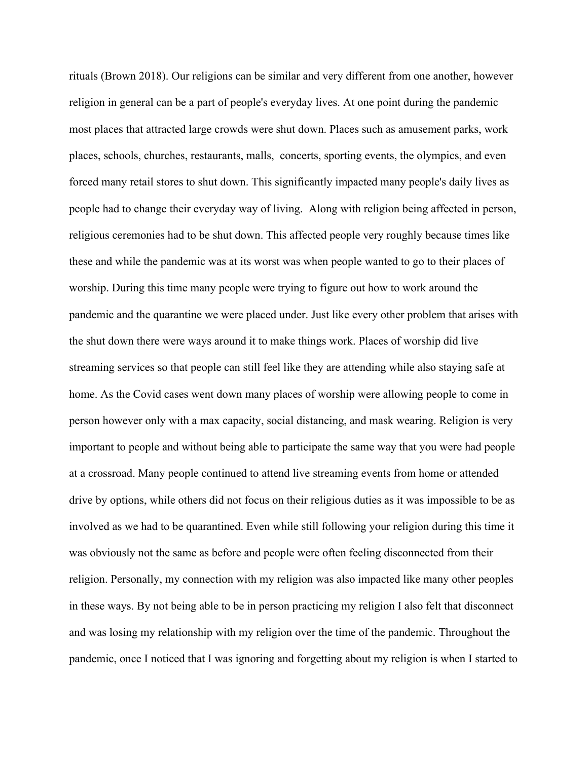rituals (Brown 2018). Our religions can be similar and very different from one another, however religion in general can be a part of people's everyday lives. At one point during the pandemic most places that attracted large crowds were shut down. Places such as amusement parks, work places, schools, churches, restaurants, malls, concerts, sporting events, the olympics, and even forced many retail stores to shut down. This significantly impacted many people's daily lives as people had to change their everyday way of living. Along with religion being affected in person, religious ceremonies had to be shut down. This affected people very roughly because times like these and while the pandemic was at its worst was when people wanted to go to their places of worship. During this time many people were trying to figure out how to work around the pandemic and the quarantine we were placed under. Just like every other problem that arises with the shut down there were ways around it to make things work. Places of worship did live streaming services so that people can still feel like they are attending while also staying safe at home. As the Covid cases went down many places of worship were allowing people to come in person however only with a max capacity, social distancing, and mask wearing. Religion is very important to people and without being able to participate the same way that you were had people at a crossroad. Many people continued to attend live streaming events from home or attended drive by options, while others did not focus on their religious duties as it was impossible to be as involved as we had to be quarantined. Even while still following your religion during this time it was obviously not the same as before and people were often feeling disconnected from their religion. Personally, my connection with my religion was also impacted like many other peoples in these ways. By not being able to be in person practicing my religion I also felt that disconnect and was losing my relationship with my religion over the time of the pandemic. Throughout the pandemic, once I noticed that I was ignoring and forgetting about my religion is when I started to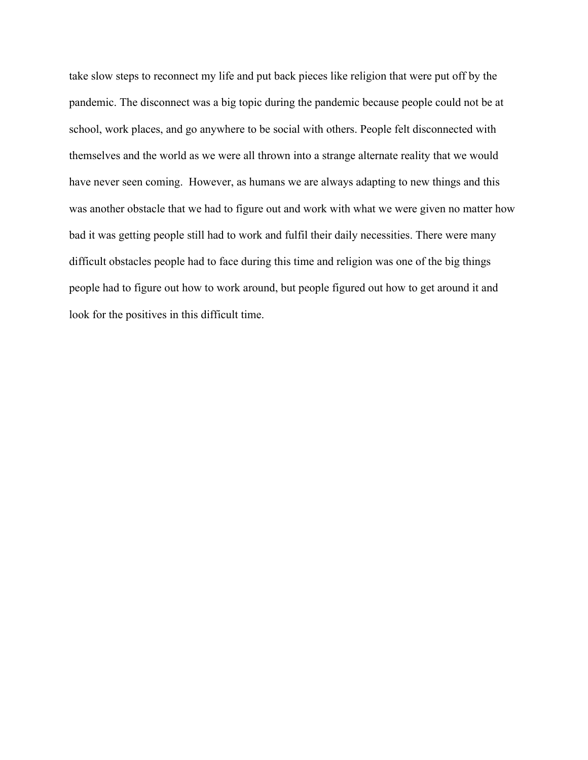take slow steps to reconnect my life and put back pieces like religion that were put off by the pandemic. The disconnect was a big topic during the pandemic because people could not be at school, work places, and go anywhere to be social with others. People felt disconnected with themselves and the world as we were all thrown into a strange alternate reality that we would have never seen coming. However, as humans we are always adapting to new things and this was another obstacle that we had to figure out and work with what we were given no matter how bad it was getting people still had to work and fulfil their daily necessities. There were many difficult obstacles people had to face during this time and religion was one of the big things people had to figure out how to work around, but people figured out how to get around it and look for the positives in this difficult time.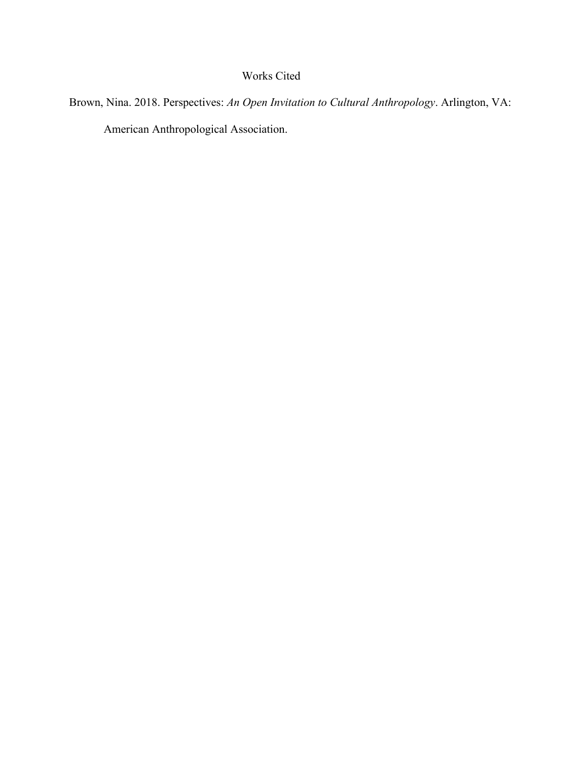# Works Cited

Brown, Nina. 2018. Perspectives: *An Open Invitation to Cultural Anthropology*. Arlington, VA: American Anthropological Association.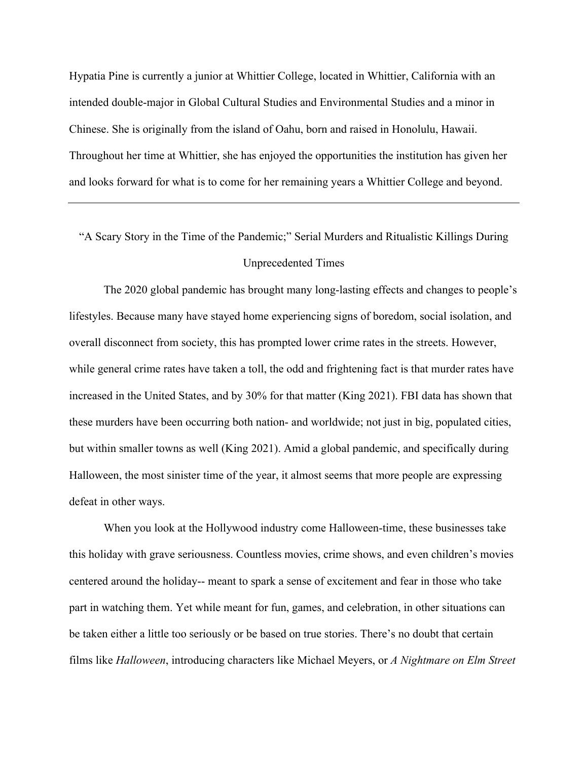Hypatia Pine is currently a junior at Whittier College, located in Whittier, California with an intended double-major in Global Cultural Studies and Environmental Studies and a minor in Chinese. She is originally from the island of Oahu, born and raised in Honolulu, Hawaii. Throughout her time at Whittier, she has enjoyed the opportunities the institution has given her and looks forward for what is to come for her remaining years a Whittier College and beyond.

"A Scary Story in the Time of the Pandemic;" Serial Murders and Ritualistic Killings During Unprecedented Times

The 2020 global pandemic has brought many long-lasting effects and changes to people's lifestyles. Because many have stayed home experiencing signs of boredom, social isolation, and overall disconnect from society, this has prompted lower crime rates in the streets. However, while general crime rates have taken a toll, the odd and frightening fact is that murder rates have increased in the United States, and by 30% for that matter (King 2021). FBI data has shown that these murders have been occurring both nation- and worldwide; not just in big, populated cities, but within smaller towns as well (King 2021). Amid a global pandemic, and specifically during Halloween, the most sinister time of the year, it almost seems that more people are expressing defeat in other ways.

When you look at the Hollywood industry come Halloween-time, these businesses take this holiday with grave seriousness. Countless movies, crime shows, and even children's movies centered around the holiday-- meant to spark a sense of excitement and fear in those who take part in watching them. Yet while meant for fun, games, and celebration, in other situations can be taken either a little too seriously or be based on true stories. There's no doubt that certain films like *Halloween*, introducing characters like Michael Meyers, or *A Nightmare on Elm Street*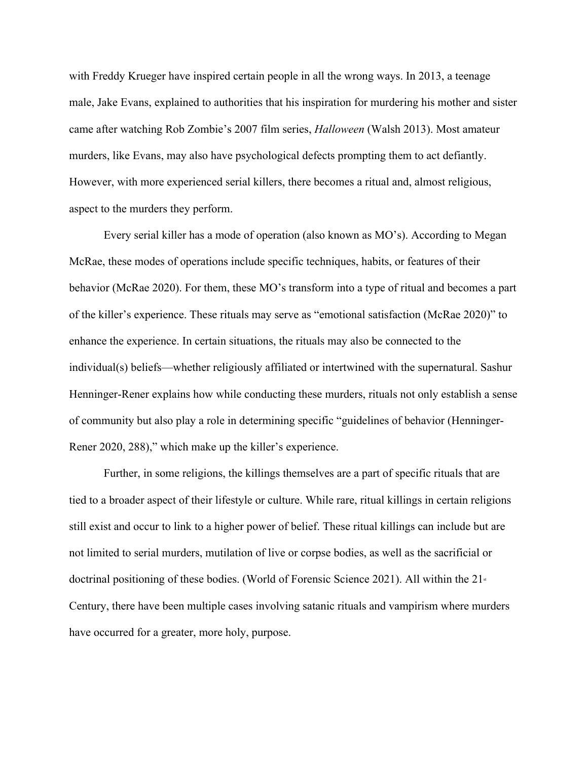with Freddy Krueger have inspired certain people in all the wrong ways. In 2013, a teenage male, Jake Evans, explained to authorities that his inspiration for murdering his mother and sister came after watching Rob Zombie's 2007 film series, *Halloween* (Walsh 2013). Most amateur murders, like Evans, may also have psychological defects prompting them to act defiantly. However, with more experienced serial killers, there becomes a ritual and, almost religious, aspect to the murders they perform.

Every serial killer has a mode of operation (also known as MO's). According to Megan McRae, these modes of operations include specific techniques, habits, or features of their behavior (McRae 2020). For them, these MO's transform into a type of ritual and becomes a part of the killer's experience. These rituals may serve as "emotional satisfaction (McRae 2020)" to enhance the experience. In certain situations, the rituals may also be connected to the individual(s) beliefs—whether religiously affiliated or intertwined with the supernatural. Sashur Henninger-Rener explains how while conducting these murders, rituals not only establish a sense of community but also play a role in determining specific "guidelines of behavior (Henninger-Rener 2020, 288)," which make up the killer's experience.

Further, in some religions, the killings themselves are a part of specific rituals that are tied to a broader aspect of their lifestyle or culture. While rare, ritual killings in certain religions still exist and occur to link to a higher power of belief. These ritual killings can include but are not limited to serial murders, mutilation of live or corpse bodies, as well as the sacrificial or doctrinal positioning of these bodies. (World of Forensic Science 2021). All within the  $21^*$ Century, there have been multiple cases involving satanic rituals and vampirism where murders have occurred for a greater, more holy, purpose.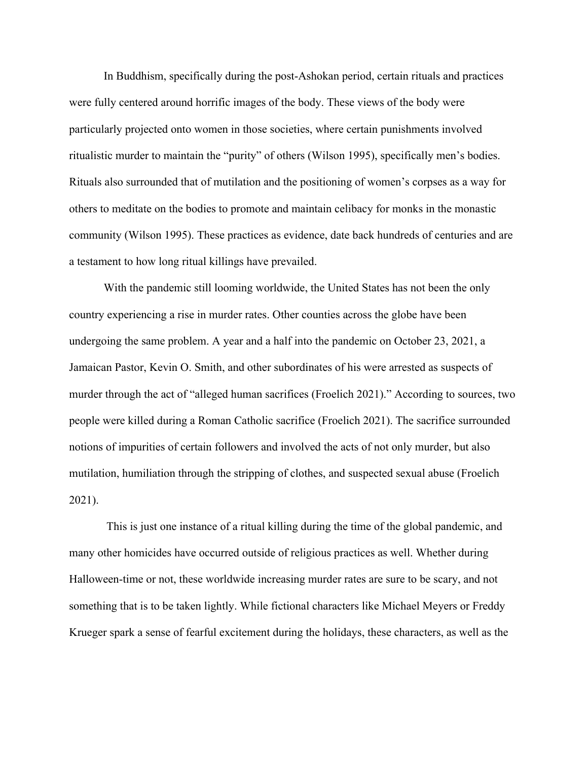In Buddhism, specifically during the post-Ashokan period, certain rituals and practices were fully centered around horrific images of the body. These views of the body were particularly projected onto women in those societies, where certain punishments involved ritualistic murder to maintain the "purity" of others (Wilson 1995), specifically men's bodies. Rituals also surrounded that of mutilation and the positioning of women's corpses as a way for others to meditate on the bodies to promote and maintain celibacy for monks in the monastic community (Wilson 1995). These practices as evidence, date back hundreds of centuries and are a testament to how long ritual killings have prevailed.

With the pandemic still looming worldwide, the United States has not been the only country experiencing a rise in murder rates. Other counties across the globe have been undergoing the same problem. A year and a half into the pandemic on October 23, 2021, a Jamaican Pastor, Kevin O. Smith, and other subordinates of his were arrested as suspects of murder through the act of "alleged human sacrifices (Froelich 2021)." According to sources, two people were killed during a Roman Catholic sacrifice (Froelich 2021). The sacrifice surrounded notions of impurities of certain followers and involved the acts of not only murder, but also mutilation, humiliation through the stripping of clothes, and suspected sexual abuse (Froelich 2021).

This is just one instance of a ritual killing during the time of the global pandemic, and many other homicides have occurred outside of religious practices as well. Whether during Halloween-time or not, these worldwide increasing murder rates are sure to be scary, and not something that is to be taken lightly. While fictional characters like Michael Meyers or Freddy Krueger spark a sense of fearful excitement during the holidays, these characters, as well as the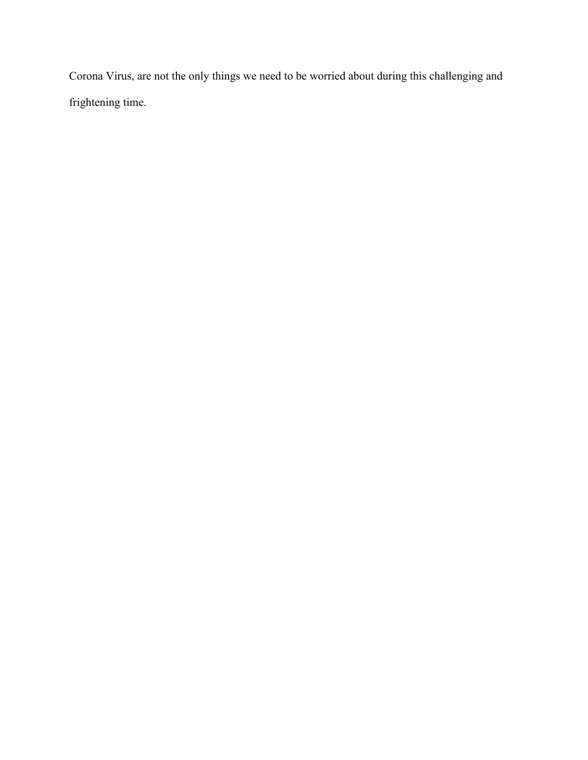Corona Virus, are not the only things we need to be worried about during this challenging and frightening time.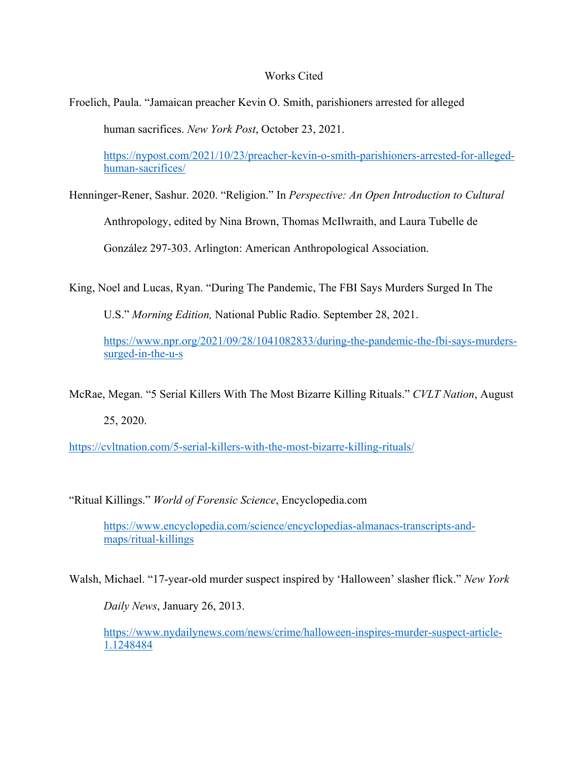## Works Cited

Froelich, Paula. "Jamaican preacher Kevin O. Smith, parishioners arrested for alleged

human sacrifices. *New York Post*, October 23, 2021.

https://nypost.com/2021/10/23/preacher-kevin-o-smith-parishioners-arrested-for-allegedhuman-sacrifices/

Henninger-Rener, Sashur. 2020. "Religion." In *Perspective: An Open Introduction to Cultural*

Anthropology, edited by Nina Brown, Thomas McIlwraith, and Laura Tubelle de

González 297-303. Arlington: American Anthropological Association.

King, Noel and Lucas, Ryan. "During The Pandemic, The FBI Says Murders Surged In The

U.S." *Morning Edition,* National Public Radio. September 28, 2021.

https://www.npr.org/2021/09/28/1041082833/during-the-pandemic-the-fbi-says-murderssurged-in-the-u-s

McRae, Megan. "5 Serial Killers With The Most Bizarre Killing Rituals." *CVLT Nation*, August

25, 2020.

https://cvltnation.com/5-serial-killers-with-the-most-bizarre-killing-rituals/

"Ritual Killings." *World of Forensic Science*, Encyclopedia.com

https://www.encyclopedia.com/science/encyclopedias-almanacs-transcripts-andmaps/ritual-killings

Walsh, Michael. "17-year-old murder suspect inspired by 'Halloween' slasher flick." *New York*

*Daily News*, January 26, 2013.

https://www.nydailynews.com/news/crime/halloween-inspires-murder-suspect-article-1.1248484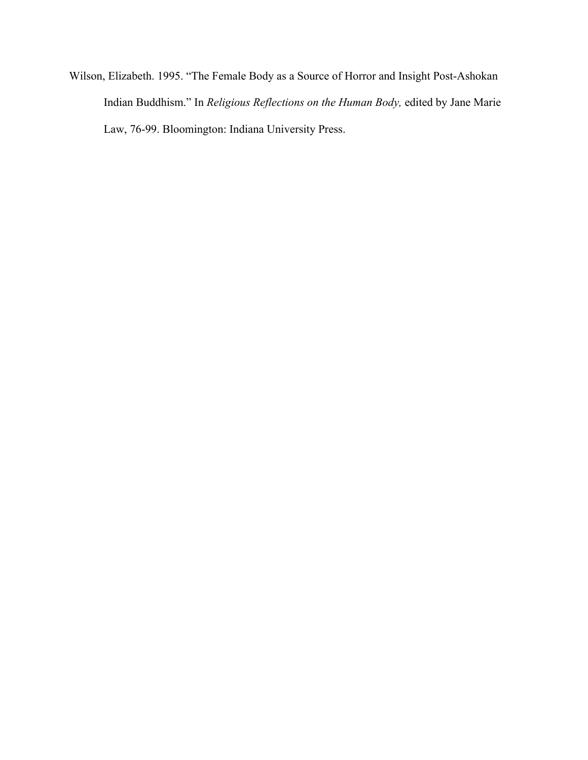Wilson, Elizabeth. 1995. "The Female Body as a Source of Horror and Insight Post-Ashokan Indian Buddhism." In *Religious Reflections on the Human Body,* edited by Jane Marie Law, 76-99. Bloomington: Indiana University Press.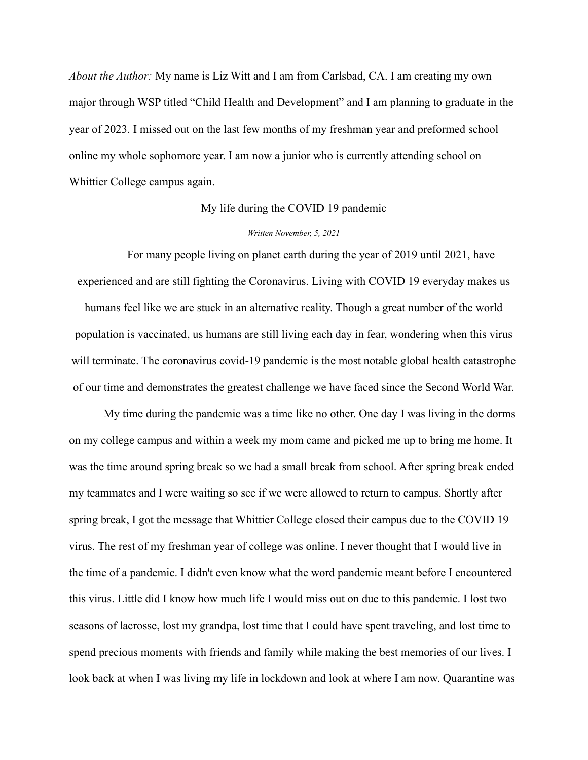*About the Author:* My name is Liz Witt and I am from Carlsbad, CA. I am creating my own major through WSP titled "Child Health and Development" and I am planning to graduate in the year of 2023. I missed out on the last few months of my freshman year and preformed school online my whole sophomore year. I am now a junior who is currently attending school on Whittier College campus again.

#### My life during the COVID 19 pandemic

#### *Written November, 5, 2021*

For many people living on planet earth during the year of 2019 until 2021, have experienced and are still fighting the Coronavirus. Living with COVID 19 everyday makes us humans feel like we are stuck in an alternative reality. Though a great number of the world population is vaccinated, us humans are still living each day in fear, wondering when this virus will terminate. The coronavirus covid-19 pandemic is the most notable global health catastrophe of our time and demonstrates the greatest challenge we have faced since the Second World War.

My time during the pandemic was a time like no other. One day I was living in the dorms on my college campus and within a week my mom came and picked me up to bring me home. It was the time around spring break so we had a small break from school. After spring break ended my teammates and I were waiting so see if we were allowed to return to campus. Shortly after spring break, I got the message that Whittier College closed their campus due to the COVID 19 virus. The rest of my freshman year of college was online. I never thought that I would live in the time of a pandemic. I didn't even know what the word pandemic meant before I encountered this virus. Little did I know how much life I would miss out on due to this pandemic. I lost two seasons of lacrosse, lost my grandpa, lost time that I could have spent traveling, and lost time to spend precious moments with friends and family while making the best memories of our lives. I look back at when I was living my life in lockdown and look at where I am now. Quarantine was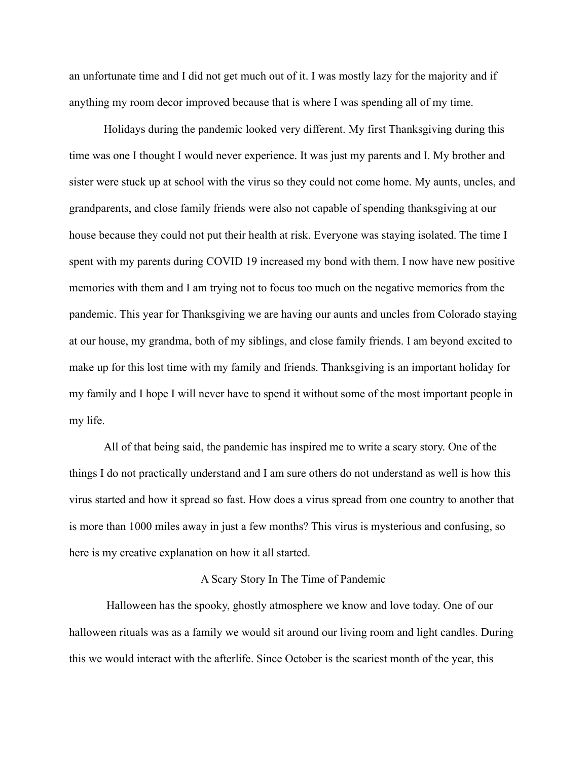an unfortunate time and I did not get much out of it. I was mostly lazy for the majority and if anything my room decor improved because that is where I was spending all of my time.

Holidays during the pandemic looked very different. My first Thanksgiving during this time was one I thought I would never experience. It was just my parents and I. My brother and sister were stuck up at school with the virus so they could not come home. My aunts, uncles, and grandparents, and close family friends were also not capable of spending thanksgiving at our house because they could not put their health at risk. Everyone was staying isolated. The time I spent with my parents during COVID 19 increased my bond with them. I now have new positive memories with them and I am trying not to focus too much on the negative memories from the pandemic. This year for Thanksgiving we are having our aunts and uncles from Colorado staying at our house, my grandma, both of my siblings, and close family friends. I am beyond excited to make up for this lost time with my family and friends. Thanksgiving is an important holiday for my family and I hope I will never have to spend it without some of the most important people in my life.

All of that being said, the pandemic has inspired me to write a scary story. One of the things I do not practically understand and I am sure others do not understand as well is how this virus started and how it spread so fast. How does a virus spread from one country to another that is more than 1000 miles away in just a few months? This virus is mysterious and confusing, so here is my creative explanation on how it all started.

#### A Scary Story In The Time of Pandemic

Halloween has the spooky, ghostly atmosphere we know and love today. One of our halloween rituals was as a family we would sit around our living room and light candles. During this we would interact with the afterlife. Since October is the scariest month of the year, this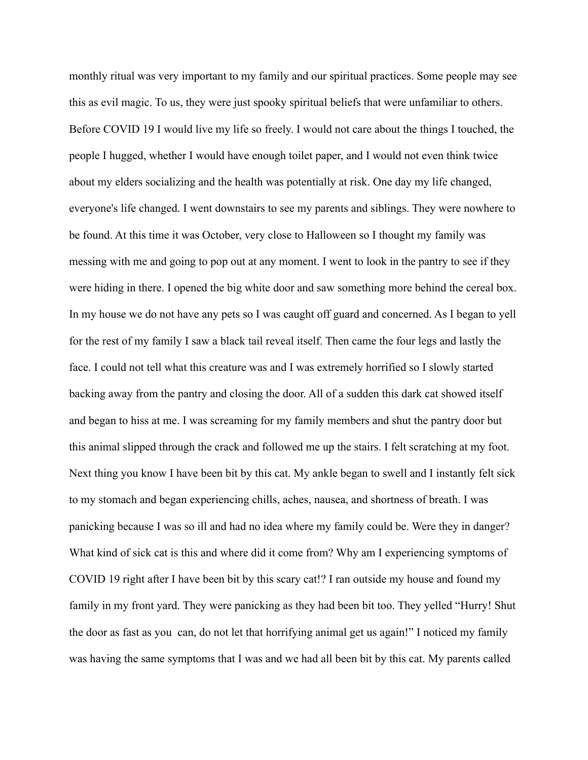monthly ritual was very important to my family and our spiritual practices. Some people may see this as evil magic. To us, they were just spooky spiritual beliefs that were unfamiliar to others. Before COVID 19 I would live my life so freely. I would not care about the things I touched, the people I hugged, whether I would have enough toilet paper, and I would not even think twice about my elders socializing and the health was potentially at risk. One day my life changed, everyone's life changed. I went downstairs to see my parents and siblings. They were nowhere to be found. At this time it was October, very close to Halloween so I thought my family was messing with me and going to pop out at any moment. I went to look in the pantry to see if they were hiding in there. I opened the big white door and saw something more behind the cereal box. In my house we do not have any pets so I was caught off guard and concerned. As I began to yell for the rest of my family I saw a black tail reveal itself. Then came the four legs and lastly the face. I could not tell what this creature was and I was extremely horrified so I slowly started backing away from the pantry and closing the door. All of a sudden this dark cat showed itself and began to hiss at me. I was screaming for my family members and shut the pantry door but this animal slipped through the crack and followed me up the stairs. I felt scratching at my foot. Next thing you know I have been bit by this cat. My ankle began to swell and I instantly felt sick to my stomach and began experiencing chills, aches, nausea, and shortness of breath. I was panicking because I was so ill and had no idea where my family could be. Were they in danger? What kind of sick cat is this and where did it come from? Why am I experiencing symptoms of COVID 19 right after I have been bit by this scary cat!? I ran outside my house and found my family in my front yard. They were panicking as they had been bit too. They yelled "Hurry! Shut the door as fast as you can, do not let that horrifying animal get us again!" I noticed my family was having the same symptoms that I was and we had all been bit by this cat. My parents called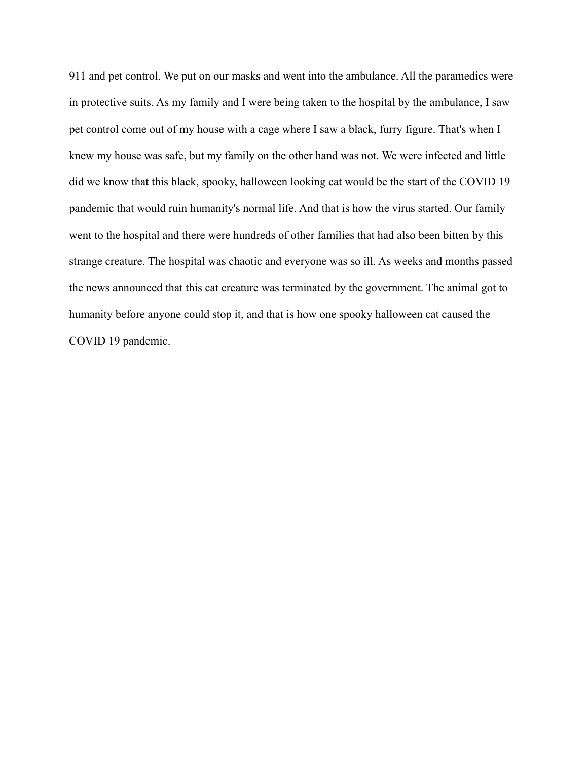911 and pet control. We put on our masks and went into the ambulance. All the paramedics were in protective suits. As my family and I were being taken to the hospital by the ambulance, I saw pet control come out of my house with a cage where I saw a black, furry figure. That's when I knew my house was safe, but my family on the other hand was not. We were infected and little did we know that this black, spooky, halloween looking cat would be the start of the COVID 19 pandemic that would ruin humanity's normal life. And that is how the virus started. Our family went to the hospital and there were hundreds of other families that had also been bitten by this strange creature. The hospital was chaotic and everyone was so ill. As weeks and months passed the news announced that this cat creature was terminated by the government. The animal got to humanity before anyone could stop it, and that is how one spooky halloween cat caused the COVID 19 pandemic.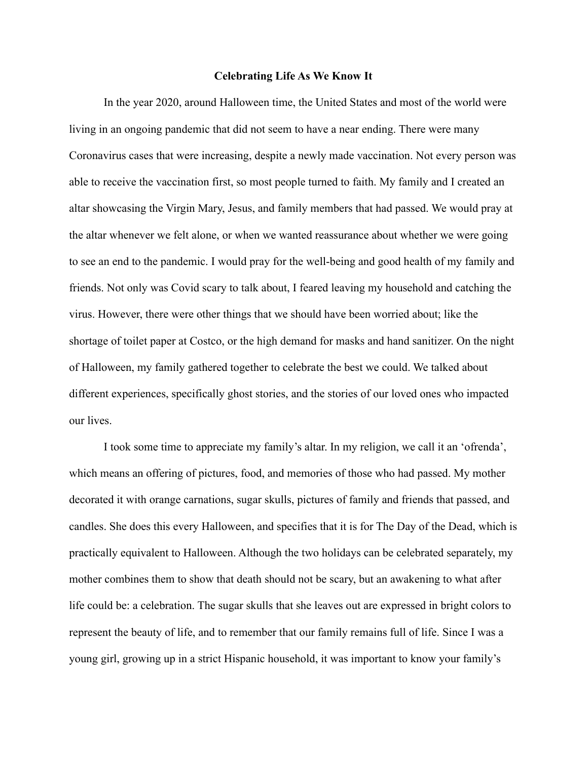### **Celebrating Life As We Know It**

In the year 2020, around Halloween time, the United States and most of the world were living in an ongoing pandemic that did not seem to have a near ending. There were many Coronavirus cases that were increasing, despite a newly made vaccination. Not every person was able to receive the vaccination first, so most people turned to faith. My family and I created an altar showcasing the Virgin Mary, Jesus, and family members that had passed. We would pray at the altar whenever we felt alone, or when we wanted reassurance about whether we were going to see an end to the pandemic. I would pray for the well-being and good health of my family and friends. Not only was Covid scary to talk about, I feared leaving my household and catching the virus. However, there were other things that we should have been worried about; like the shortage of toilet paper at Costco, or the high demand for masks and hand sanitizer. On the night of Halloween, my family gathered together to celebrate the best we could. We talked about different experiences, specifically ghost stories, and the stories of our loved ones who impacted our lives.

I took some time to appreciate my family's altar. In my religion, we call it an 'ofrenda', which means an offering of pictures, food, and memories of those who had passed. My mother decorated it with orange carnations, sugar skulls, pictures of family and friends that passed, and candles. She does this every Halloween, and specifies that it is for The Day of the Dead, which is practically equivalent to Halloween. Although the two holidays can be celebrated separately, my mother combines them to show that death should not be scary, but an awakening to what after life could be: a celebration. The sugar skulls that she leaves out are expressed in bright colors to represent the beauty of life, and to remember that our family remains full of life. Since I was a young girl, growing up in a strict Hispanic household, it was important to know your family's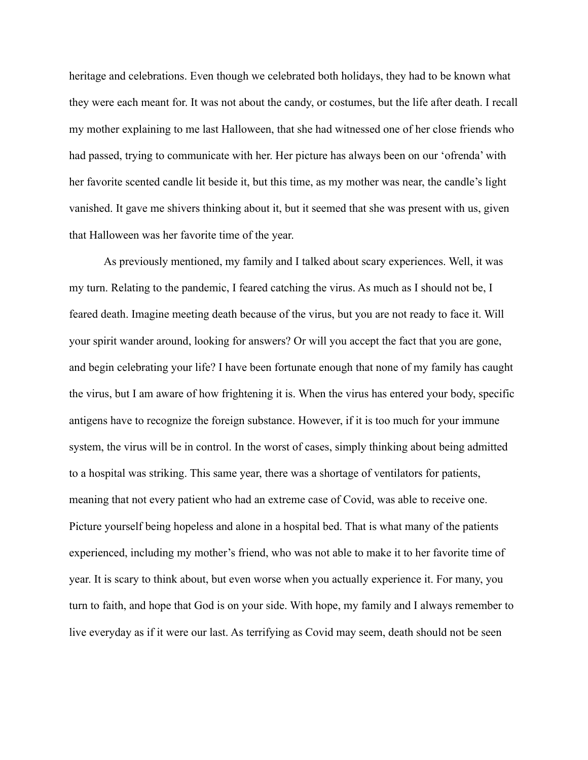heritage and celebrations. Even though we celebrated both holidays, they had to be known what they were each meant for. It was not about the candy, or costumes, but the life after death. I recall my mother explaining to me last Halloween, that she had witnessed one of her close friends who had passed, trying to communicate with her. Her picture has always been on our 'ofrenda' with her favorite scented candle lit beside it, but this time, as my mother was near, the candle's light vanished. It gave me shivers thinking about it, but it seemed that she was present with us, given that Halloween was her favorite time of the year.

As previously mentioned, my family and I talked about scary experiences. Well, it was my turn. Relating to the pandemic, I feared catching the virus. As much as I should not be, I feared death. Imagine meeting death because of the virus, but you are not ready to face it. Will your spirit wander around, looking for answers? Or will you accept the fact that you are gone, and begin celebrating your life? I have been fortunate enough that none of my family has caught the virus, but I am aware of how frightening it is. When the virus has entered your body, specific antigens have to recognize the foreign substance. However, if it is too much for your immune system, the virus will be in control. In the worst of cases, simply thinking about being admitted to a hospital was striking. This same year, there was a shortage of ventilators for patients, meaning that not every patient who had an extreme case of Covid, was able to receive one. Picture yourself being hopeless and alone in a hospital bed. That is what many of the patients experienced, including my mother's friend, who was not able to make it to her favorite time of year. It is scary to think about, but even worse when you actually experience it. For many, you turn to faith, and hope that God is on your side. With hope, my family and I always remember to live everyday as if it were our last. As terrifying as Covid may seem, death should not be seen